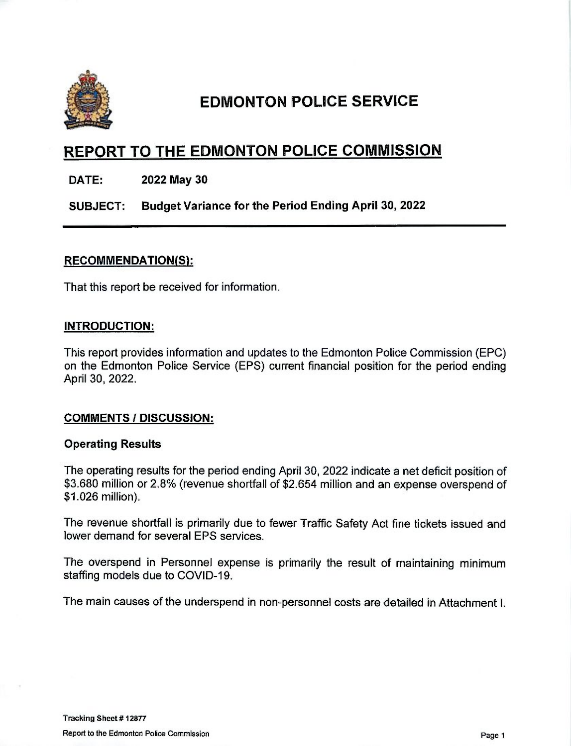

# EDMONTON POLICE SERVICE

## REPORT TO THE EDMONTON POLICE COMMISSION

DATE: 2022 May 30

SUBJECT: Budget Variance for the Period Ending April 30, 2022

## RECOMMENDATION(S):

That this report be received for information.

## INTRODUCTION:

This report provides information and updates to the Edmonton Police Commission (ERG) on the Edmonton Police Service (EPS) current financial position for the period ending April 30, 2022.

## COMMENTS / DISCUSSION:

#### Operating Results

The operating results for the period ending April 30, 2022 indicate a net deficit position of \$3,680 million or 2.8% (revenue shortfall of \$2,654 million and an expense overspend of \$1,026 million).

The revenue shortfall is primarily due to fewer Traffic Safety Act fine tickets issued and lower demand for several EPS services.

The overspend in Personnel expense is primarily the result of maintaining minimum staffing models due to COVID-19.

The main causes of the underspend in non-personnel costs are detailed in Attachment I.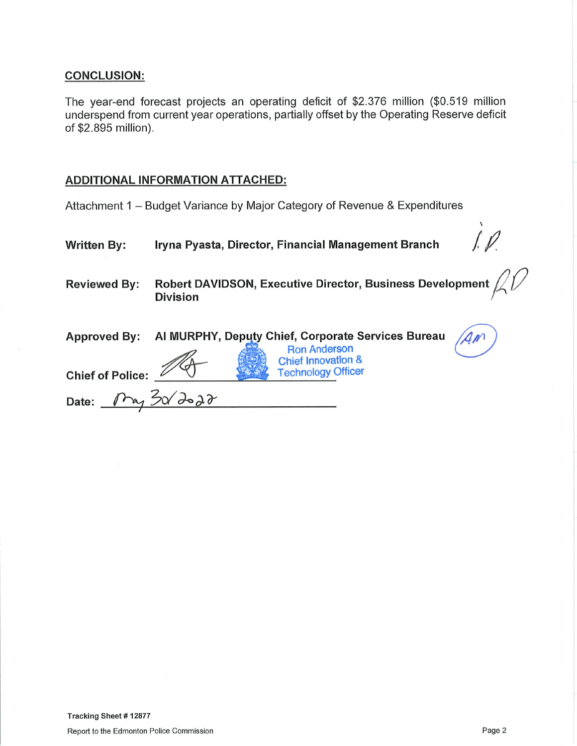## **CONCLUSION:**

The year-end forecast projects an operating deficit of \$2.376 million (\$0.519 million underspend from current year operations, partially offset by the Operating Reserve deficit of \$2.895 million).

## **ADDITIONAL INFORMATION ATTACHED:**

Attachment 1 - Budget Variance by Major Category of Revenue & Expenditures

| <b>Written By:</b>      | Iryna Pyasta, Director, Financial Management Branch                                                        |
|-------------------------|------------------------------------------------------------------------------------------------------------|
| <b>Reviewed By:</b>     | Robert DAVIDSON, Executive Director, Business Development<br><b>Division</b>                               |
| <b>Approved By:</b>     | Al MURPHY, Deputy Chief, Corporate Services Bureau<br><b>Ron Anderson</b><br><b>Chief Innovation &amp;</b> |
| <b>Chief of Police:</b> | <b>Technology Officer</b>                                                                                  |
| Date:                   |                                                                                                            |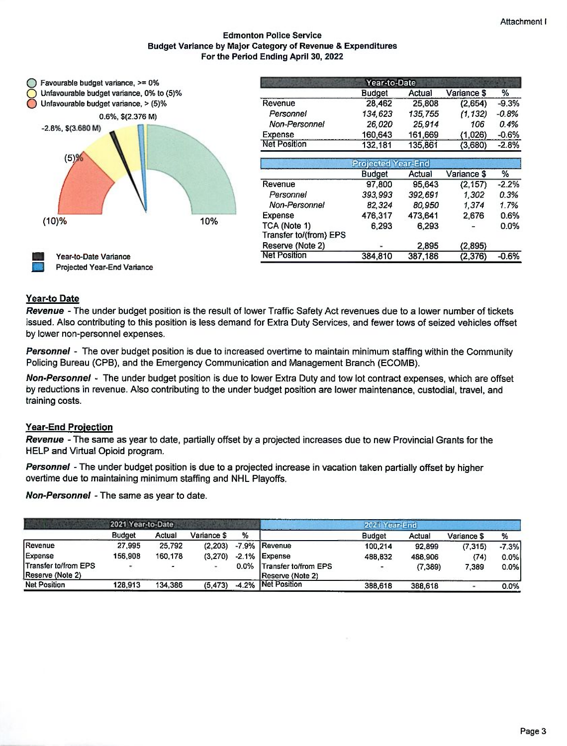#### Edmonton Police Service Budget Variance by Major Category of Revenue & Expenditures For the Period Ending April 30, 2022



|                        | Year-to-Date  |         |             |         |  |
|------------------------|---------------|---------|-------------|---------|--|
|                        | <b>Budget</b> | Actual  | Variance \$ | %       |  |
| Revenue                | 28,462        | 25.808  | (2,654)     | $-9.3%$ |  |
| Personnel              | 134,623       | 135,755 | (1, 132)    | $-0.8%$ |  |
| Non-Personnel          | 26.020        | 25.914  | 106         | 0.4%    |  |
| Expense                | 160,643       | 161,669 | (1,026)     | $-0.6%$ |  |
| <b>Net Position</b>    | 132,181       | 135,861 | (3,680)     | $-2.8%$ |  |
|                        | Projected     | ear-End |             |         |  |
|                        | <b>Budget</b> | Actual  | Variance \$ | %       |  |
| Revenue                | 97,800        | 95.643  | (2, 157)    | $-2.2%$ |  |
| Personnel              | 393,993       | 392,691 | 1,302       | 0.3%    |  |
| Non-Personnel          | 82,324        | 80.950  | 1.374       | 1.7%    |  |
| Expense                | 476.317       | 473.641 | 2,676       | 0.6%    |  |
| TCA (Note 1)           | 6.293         | 6.293   |             | 0.0%    |  |
| Transfer to/(from) EPS |               |         |             |         |  |
| Reserve (Note 2)       |               | 2.895   | (2,895)     |         |  |
| <b>Net Position</b>    | 384,810       | 387.186 | (2,376)     | $-0.6%$ |  |

#### Year-to Date

Revenue - The under budget position is the result of lower Traffic Safety Act revenues due to a lower number of tickets issued. Also contributing to this position is less demand for Extra Duty Services, and fewer tows of seized vehicles offset by lower non-personnel expenses.

Personnel - The over budget position is due to increased overtime to maintain minimum staffing within the Community Policing Bureau (ORB), and the Emergency Communication and Management Branch (ECOMB).

Non-Personnel - The under budget position is due to lower Extra Duty and tow lot contract expenses, which are offset by reductions in revenue. Also contributing to the under budget position are lower maintenance, custodial, travel, and training costs.

#### **Year-End Projection**

Revenue - The same as year to date, partially offset by a projected increases due to new Provincial Grants for the HELP and Virtual Opioid program.

Personnel - The under budget position is due to a projected increase in vacation taken partially offset by higher overtime due to maintaining minimum staffing and NHL Playoffs.

Non-Personnel - The same as year to date.

|                      | 2021 Year-to-Date |                |             |         |                      | 2021 Year-End |          |             |         |
|----------------------|-------------------|----------------|-------------|---------|----------------------|---------------|----------|-------------|---------|
|                      | <b>Budget</b>     | Actual         | Variance \$ | %       |                      | <b>Budget</b> | Actual   | Variance \$ | %       |
| Revenue              | 27,995            | 25,792         | (2, 203)    |         | -7.9% Revenue        | 100.214       | 92,899   | (7, 315)    | $-7.3%$ |
| Expense              | 156,908           | 160.178        | (3.270)     |         | $-2.1\%$ Expense     | 488.832       | 488.906  | (74)        | 0.0%    |
| Transfer to/from EPS |                   | $\blacksquare$ |             | $0.0\%$ | Transfer to/from EPS |               | (7, 389) | 7.389       | $0.0\%$ |
| Reserve (Note 2)     |                   |                |             |         | Reserve (Note 2)     |               |          |             |         |
| <b>Net Position</b>  | 128.913           | 134.386        | (5, 473)    | $-4.2%$ | Net Position         | 388.618       | 388,618  |             | 0.0%    |